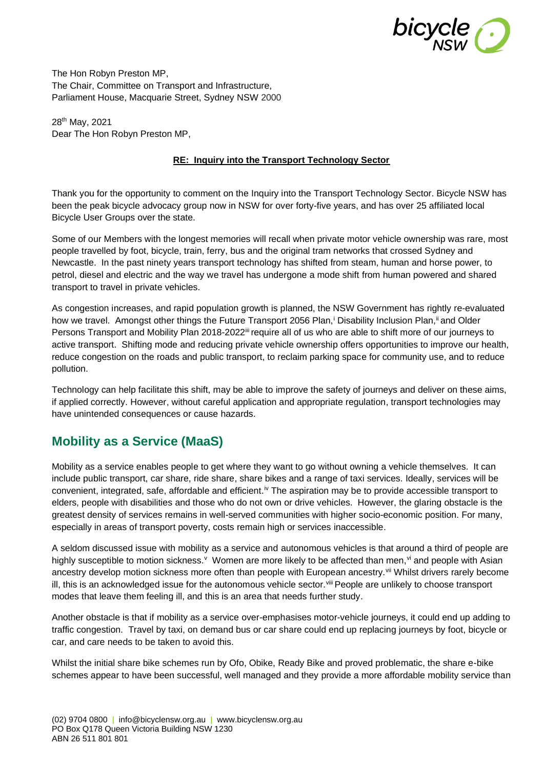

The Hon Robyn Preston MP, The Chair, Committee on Transport and Infrastructure, Parliament House, Macquarie Street, Sydney NSW 2000

28th May, 2021 Dear The Hon Robyn Preston MP,

#### **RE: Inquiry into the Transport Technology Sector**

Thank you for the opportunity to comment on the Inquiry into the Transport Technology Sector. Bicycle NSW has been the peak bicycle advocacy group now in NSW for over forty-five years, and has over 25 affiliated local Bicycle User Groups over the state.

Some of our Members with the longest memories will recall when private motor vehicle ownership was rare, most people travelled by foot, bicycle, train, ferry, bus and the original tram networks that crossed Sydney and Newcastle. In the past ninety years transport technology has shifted from steam, human and horse power, to petrol, diesel and electric and the way we travel has undergone a mode shift from human powered and shared transport to travel in private vehicles.

As congestion increases, and rapid population growth is planned, the NSW Government has rightly re-evaluated how we travel. Amongst other things the Future Transport 2056 Plan,<sup>i</sup> Disability Inclusion Plan,<sup>ii</sup> and Older Persons Transport and Mobility Plan 2018-2022<sup>iii</sup> require all of us who are able to shift more of our journeys to active transport. Shifting mode and reducing private vehicle ownership offers opportunities to improve our health, reduce congestion on the roads and public transport, to reclaim parking space for community use, and to reduce pollution.

Technology can help facilitate this shift, may be able to improve the safety of journeys and deliver on these aims, if applied correctly. However, without careful application and appropriate regulation, transport technologies may have unintended consequences or cause hazards.

## **Mobility as a Service (MaaS)**

Mobility as a service enables people to get where they want to go without owning a vehicle themselves. It can include public transport, car share, ride share, share bikes and a range of taxi services. Ideally, services will be convenient, integrated, safe, affordable and efficient.iv The aspiration may be to provide accessible transport to elders, people with disabilities and those who do not own or drive vehicles. However, the glaring obstacle is the greatest density of services remains in well-served communities with higher socio-economic position. For many, especially in areas of transport poverty, costs remain high or services inaccessible.

A seldom discussed issue with mobility as a service and autonomous vehicles is that around a third of people are highly susceptible to motion sickness. V Women are more likely to be affected than men, vi and people with Asian ancestry develop motion sickness more often than people with European ancestry.<sup>vii</sup> Whilst drivers rarely become ill, this is an acknowledged issue for the autonomous vehicle sector. Vill People are unlikely to choose transport modes that leave them feeling ill, and this is an area that needs further study.

Another obstacle is that if mobility as a service over-emphasises motor-vehicle journeys, it could end up adding to traffic congestion. Travel by taxi, on demand bus or car share could end up replacing journeys by foot, bicycle or car, and care needs to be taken to avoid this.

Whilst the initial share bike schemes run by Ofo, Obike, Ready Bike and proved problematic, the share e-bike schemes appear to have been successful, well managed and they provide a more affordable mobility service than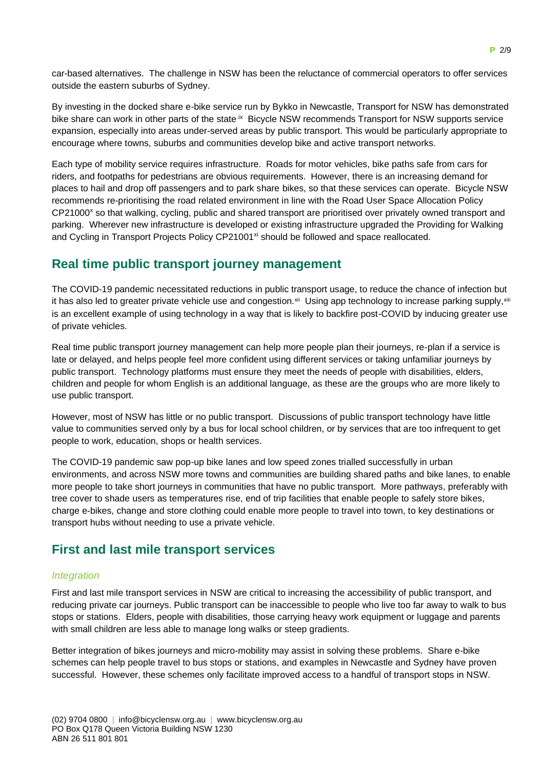car-based alternatives. The challenge in NSW has been the reluctance of commercial operators to offer services outside the eastern suburbs of Sydney.

By investing in the docked share e-bike service run by Bykko in Newcastle, Transport for NSW has demonstrated bike share can work in other parts of the state.<sup>ix</sup> Bicycle NSW recommends Transport for NSW supports service expansion, especially into areas under-served areas by public transport. This would be particularly appropriate to encourage where towns, suburbs and communities develop bike and active transport networks.

Each type of mobility service requires infrastructure. Roads for motor vehicles, bike paths safe from cars for riders, and footpaths for pedestrians are obvious requirements. However, there is an increasing demand for places to hail and drop off passengers and to park share bikes, so that these services can operate. Bicycle NSW recommends re-prioritising the road related environment in line with the Road User Space Allocation Policy CP21000<sup>x</sup> so that walking, cycling, public and shared transport are prioritised over privately owned transport and parking. Wherever new infrastructure is developed or existing infrastructure upgraded the Providing for Walking and Cycling in Transport Projects Policy CP21001<sup>xi</sup> should be followed and space reallocated.

### **Real time public transport journey management**

The COVID-19 pandemic necessitated reductions in public transport usage, to reduce the chance of infection but it has also led to greater private vehicle use and congestion.<sup>xii</sup> Using app technology to increase parking supply,<sup>xiii</sup> is an excellent example of using technology in a way that is likely to backfire post-COVID by inducing greater use of private vehicles.

Real time public transport journey management can help more people plan their journeys, re-plan if a service is late or delayed, and helps people feel more confident using different services or taking unfamiliar journeys by public transport. Technology platforms must ensure they meet the needs of people with disabilities, elders, children and people for whom English is an additional language, as these are the groups who are more likely to use public transport.

However, most of NSW has little or no public transport. Discussions of public transport technology have little value to communities served only by a bus for local school children, or by services that are too infrequent to get people to work, education, shops or health services.

The COVID-19 pandemic saw pop-up bike lanes and low speed zones trialled successfully in urban environments, and across NSW more towns and communities are building shared paths and bike lanes, to enable more people to take short journeys in communities that have no public transport. More pathways, preferably with tree cover to shade users as temperatures rise, end of trip facilities that enable people to safely store bikes, charge e-bikes, change and store clothing could enable more people to travel into town, to key destinations or transport hubs without needing to use a private vehicle.

## **First and last mile transport services**

#### *Integration*

First and last mile transport services in NSW are critical to increasing the accessibility of public transport, and reducing private car journeys. Public transport can be inaccessible to people who live too far away to walk to bus stops or stations. Elders, people with disabilities, those carrying heavy work equipment or luggage and parents with small children are less able to manage long walks or steep gradients.

Better integration of bikes journeys and micro-mobility may assist in solving these problems. Share e-bike schemes can help people travel to bus stops or stations, and examples in Newcastle and Sydney have proven successful. However, these schemes only facilitate improved access to a handful of transport stops in NSW.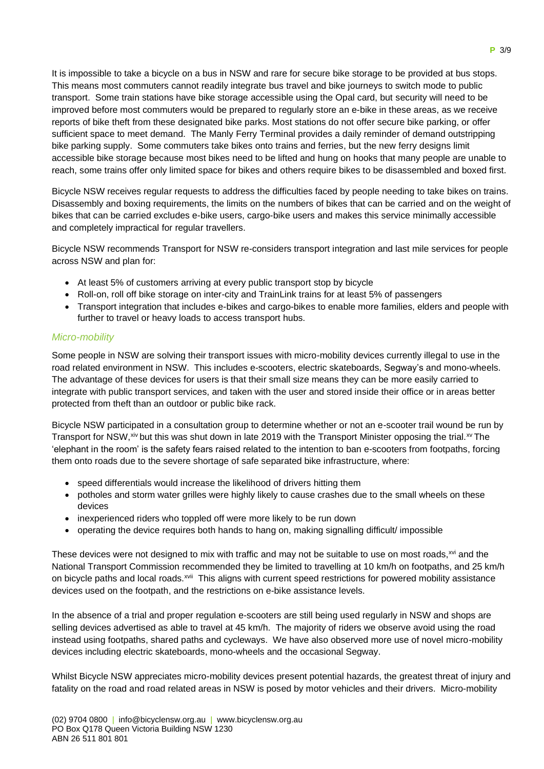It is impossible to take a bicycle on a bus in NSW and rare for secure bike storage to be provided at bus stops. This means most commuters cannot readily integrate bus travel and bike journeys to switch mode to public transport. Some train stations have bike storage accessible using the Opal card, but security will need to be improved before most commuters would be prepared to regularly store an e-bike in these areas, as we receive reports of bike theft from these designated bike parks. Most stations do not offer secure bike parking, or offer sufficient space to meet demand. The Manly Ferry Terminal provides a daily reminder of demand outstripping bike parking supply. Some commuters take bikes onto trains and ferries, but the new ferry designs limit accessible bike storage because most bikes need to be lifted and hung on hooks that many people are unable to reach, some trains offer only limited space for bikes and others require bikes to be disassembled and boxed first.

Bicycle NSW receives regular requests to address the difficulties faced by people needing to take bikes on trains. Disassembly and boxing requirements, the limits on the numbers of bikes that can be carried and on the weight of bikes that can be carried excludes e-bike users, cargo-bike users and makes this service minimally accessible and completely impractical for regular travellers.

Bicycle NSW recommends Transport for NSW re-considers transport integration and last mile services for people across NSW and plan for:

- At least 5% of customers arriving at every public transport stop by bicycle
- Roll-on, roll off bike storage on inter-city and TrainLink trains for at least 5% of passengers
- Transport integration that includes e-bikes and cargo-bikes to enable more families, elders and people with further to travel or heavy loads to access transport hubs.

#### *Micro-mobility*

Some people in NSW are solving their transport issues with micro-mobility devices currently illegal to use in the road related environment in NSW. This includes e-scooters, electric skateboards, Segway's and mono-wheels. The advantage of these devices for users is that their small size means they can be more easily carried to integrate with public transport services, and taken with the user and stored inside their office or in areas better protected from theft than an outdoor or public bike rack.

Bicycle NSW participated in a consultation group to determine whether or not an e-scooter trail wound be run by Transport for NSW,  $xiv$  but this was shut down in late 2019 with the Transport Minister opposing the trial. $xv$  The 'elephant in the room' is the safety fears raised related to the intention to ban e-scooters from footpaths, forcing them onto roads due to the severe shortage of safe separated bike infrastructure, where:

- speed differentials would increase the likelihood of drivers hitting them
- potholes and storm water grilles were highly likely to cause crashes due to the small wheels on these devices
- inexperienced riders who toppled off were more likely to be run down
- operating the device requires both hands to hang on, making signalling difficult/ impossible

These devices were not designed to mix with traffic and may not be suitable to use on most roads,<sup>xvi</sup> and the National Transport Commission recommended they be limited to travelling at 10 km/h on footpaths, and 25 km/h on bicycle paths and local roads.<sup>xvii</sup> This aligns with current speed restrictions for powered mobility assistance devices used on the footpath, and the restrictions on e-bike assistance levels.

In the absence of a trial and proper regulation e-scooters are still being used regularly in NSW and shops are selling devices advertised as able to travel at 45 km/h. The majority of riders we observe avoid using the road instead using footpaths, shared paths and cycleways. We have also observed more use of novel micro-mobility devices including electric skateboards, mono-wheels and the occasional Segway.

Whilst Bicycle NSW appreciates micro-mobility devices present potential hazards, the greatest threat of injury and fatality on the road and road related areas in NSW is posed by motor vehicles and their drivers. Micro-mobility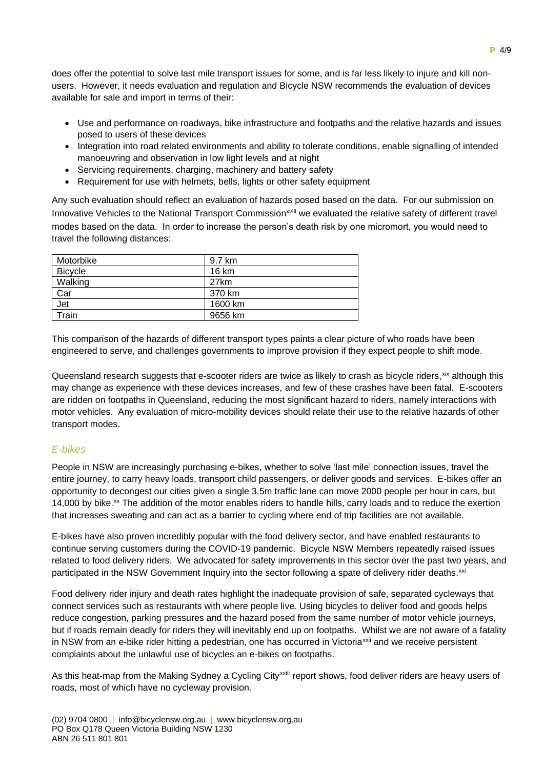does offer the potential to solve last mile transport issues for some, and is far less likely to injure and kill nonusers. However, it needs evaluation and regulation and Bicycle NSW recommends the evaluation of devices available for sale and import in terms of their:

- Use and performance on roadways, bike infrastructure and footpaths and the relative hazards and issues posed to users of these devices
- Integration into road related environments and ability to tolerate conditions, enable signalling of intended manoeuvring and observation in low light levels and at night
- Servicing requirements, charging, machinery and battery safety
- Requirement for use with helmets, bells, lights or other safety equipment

Any such evaluation should reflect an evaluation of hazards posed based on the data. For our submission on Innovative Vehicles to the National Transport Commission<sup>xviii</sup> we evaluated the relative safety of different travel modes based on the data. In order to increase the person's death risk by one micromort, you would need to travel the following distances:

| Motorbike      | 9.7 km  |
|----------------|---------|
| <b>Bicycle</b> | 16 km   |
| Walking        | 27km    |
| Car            | 370 km  |
| Jet            | 1600 km |
| Train          | 9656 km |

This comparison of the hazards of different transport types paints a clear picture of who roads have been engineered to serve, and challenges governments to improve provision if they expect people to shift mode.

Queensland research suggests that e-scooter riders are twice as likely to crash as bicycle riders, xix although this may change as experience with these devices increases, and few of these crashes have been fatal. E-scooters are ridden on footpaths in Queensland, reducing the most significant hazard to riders, namely interactions with motor vehicles. Any evaluation of micro-mobility devices should relate their use to the relative hazards of other transport modes.

#### *E-bikes*

People in NSW are increasingly purchasing e-bikes, whether to solve 'last mile' connection issues, travel the entire journey, to carry heavy loads, transport child passengers, or deliver goods and services. E-bikes offer an opportunity to decongest our cities given a single 3.5m traffic lane can move 2000 people per hour in cars, but 14,000 by bike.<sup>xx</sup> The addition of the motor enables riders to handle hills, carry loads and to reduce the exertion that increases sweating and can act as a barrier to cycling where end of trip facilities are not available.

E-bikes have also proven incredibly popular with the food delivery sector, and have enabled restaurants to continue serving customers during the COVID-19 pandemic. Bicycle NSW Members repeatedly raised issues related to food delivery riders. We advocated for safety improvements in this sector over the past two years, and participated in the NSW Government Inquiry into the sector following a spate of delivery rider deaths.<sup>xxi</sup>

Food delivery rider injury and death rates highlight the inadequate provision of safe, separated cycleways that connect services such as restaurants with where people live. Using bicycles to deliver food and goods helps reduce congestion, parking pressures and the hazard posed from the same number of motor vehicle journeys, but if roads remain deadly for riders they will inevitably end up on footpaths. Whilst we are not aware of a fatality in NSW from an e-bike rider hitting a pedestrian, one has occurred in Victoria<sup>xxii</sup> and we receive persistent complaints about the unlawful use of bicycles an e-bikes on footpaths.

As this heat-map from the Making Sydney a Cycling City<sup>xxiii</sup> report shows, food deliver riders are heavy users of roads, most of which have no cycleway provision.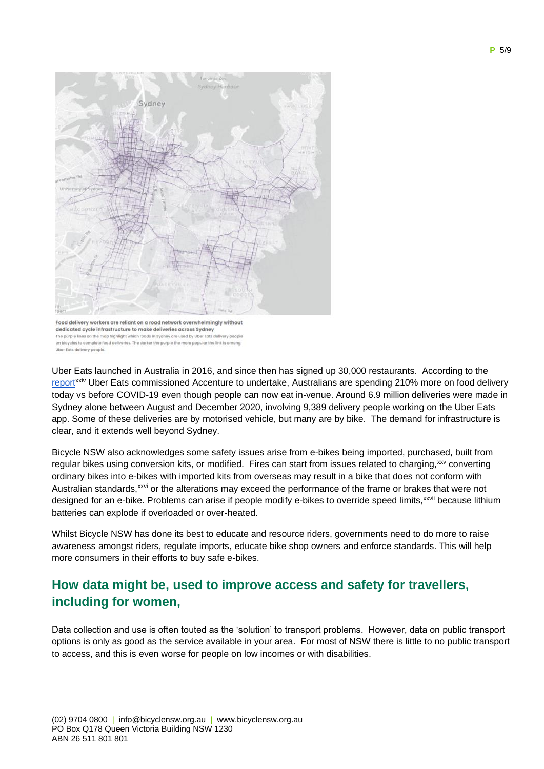

The purple lines on the map highlight v ads in Sydney are used by Uber Ea on bicycles to complete food deliveries. The dones the purple the more popular the link is amo Uber Ests delivery people

Uber Eats launched in Australia in 2016, and since then has signed up 30,000 restaurants. According to the [report](https://ubernewsroomapi.10upcdn.com/wp-content/uploads/2021/04/Accenture-Making-delivery-work-for-everyone-1-1.pdf)xxiv Uber Eats commissioned Accenture to undertake, Australians are spending 210% more on food delivery today vs before COVID-19 even though people can now eat in-venue. Around 6.9 million deliveries were made in Sydney alone between August and December 2020, involving 9,389 delivery people working on the Uber Eats app. Some of these deliveries are by motorised vehicle, but many are by bike. The demand for infrastructure is clear, and it extends well beyond Sydney.

Bicycle NSW also acknowledges some safety issues arise from e-bikes being imported, purchased, built from regular bikes using conversion kits, or modified. Fires can start from issues related to charging, xxv converting ordinary bikes into e-bikes with imported kits from overseas may result in a bike that does not conform with Australian standards,<sup>xxvi</sup> or the alterations may exceed the performance of the frame or brakes that were not designed for an e-bike. Problems can arise if people modify e-bikes to override speed limits, xxvii because lithium batteries can explode if overloaded or over-heated.

Whilst Bicycle NSW has done its best to educate and resource riders, governments need to do more to raise awareness amongst riders, regulate imports, educate bike shop owners and enforce standards. This will help more consumers in their efforts to buy safe e-bikes.

# **How data might be, used to improve access and safety for travellers, including for women,**

Data collection and use is often touted as the 'solution' to transport problems. However, data on public transport options is only as good as the service available in your area. For most of NSW there is little to no public transport to access, and this is even worse for people on low incomes or with disabilities.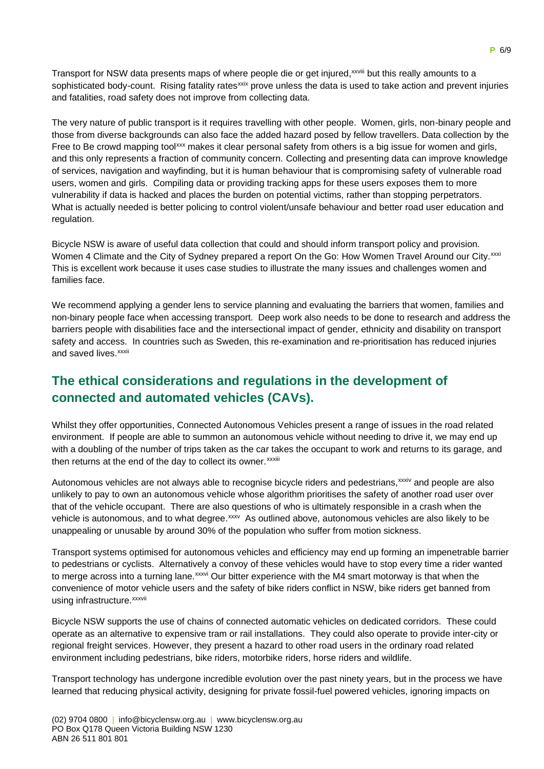Transport for NSW data presents maps of where people die or get injured,<sup>xxviii</sup> but this really amounts to a sophisticated body-count. Rising fatality rates<sup>xxix</sup> prove unless the data is used to take action and prevent injuries and fatalities, road safety does not improve from collecting data.

The very nature of public transport is it requires travelling with other people. Women, girls, non-binary people and those from diverse backgrounds can also face the added hazard posed by fellow travellers. Data collection by the Free to Be crowd mapping tool<sup>xxx</sup> makes it clear personal safety from others is a big issue for women and girls, and this only represents a fraction of community concern. Collecting and presenting data can improve knowledge of services, navigation and wayfinding, but it is human behaviour that is compromising safety of vulnerable road users, women and girls. Compiling data or providing tracking apps for these users exposes them to more vulnerability if data is hacked and places the burden on potential victims, rather than stopping perpetrators. What is actually needed is better policing to control violent/unsafe behaviour and better road user education and regulation.

Bicycle NSW is aware of useful data collection that could and should inform transport policy and provision. Women 4 Climate and the City of Sydney prepared a report On the Go: How Women Travel Around our City.<sup>xxxi</sup> This is excellent work because it uses case studies to illustrate the many issues and challenges women and families face.

We recommend applying a gender lens to service planning and evaluating the barriers that women, families and non-binary people face when accessing transport. Deep work also needs to be done to research and address the barriers people with disabilities face and the intersectional impact of gender, ethnicity and disability on transport safety and access. In countries such as Sweden, this re-examination and re-prioritisation has reduced injuries and saved lives.<sup>xxxii</sup>

# **The ethical considerations and regulations in the development of connected and automated vehicles (CAVs).**

Whilst they offer opportunities, Connected Autonomous Vehicles present a range of issues in the road related environment. If people are able to summon an autonomous vehicle without needing to drive it, we may end up with a doubling of the number of trips taken as the car takes the occupant to work and returns to its garage, and then returns at the end of the day to collect its owner.<sup>xxxiii</sup>

Autonomous vehicles are not always able to recognise bicycle riders and pedestrians, xxxiv and people are also unlikely to pay to own an autonomous vehicle whose algorithm prioritises the safety of another road user over that of the vehicle occupant. There are also questions of who is ultimately responsible in a crash when the vehicle is autonomous, and to what degree.<sup>xxxv</sup> As outlined above, autonomous vehicles are also likely to be unappealing or unusable by around 30% of the population who suffer from motion sickness.

Transport systems optimised for autonomous vehicles and efficiency may end up forming an impenetrable barrier to pedestrians or cyclists. Alternatively a convoy of these vehicles would have to stop every time a rider wanted to merge across into a turning lane.<sup>xxxvi</sup> Our bitter experience with the M4 smart motorway is that when the convenience of motor vehicle users and the safety of bike riders conflict in NSW, bike riders get banned from using infrastructure. xxxvii

Bicycle NSW supports the use of chains of connected automatic vehicles on dedicated corridors. These could operate as an alternative to expensive tram or rail installations. They could also operate to provide inter-city or regional freight services. However, they present a hazard to other road users in the ordinary road related environment including pedestrians, bike riders, motorbike riders, horse riders and wildlife.

Transport technology has undergone incredible evolution over the past ninety years, but in the process we have learned that reducing physical activity, designing for private fossil-fuel powered vehicles, ignoring impacts on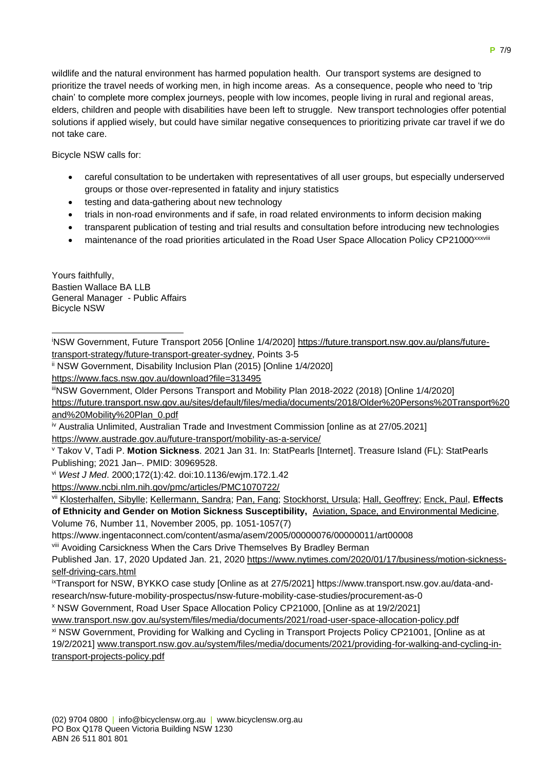wildlife and the natural environment has harmed population health. Our transport systems are designed to prioritize the travel needs of working men, in high income areas. As a consequence, people who need to 'trip chain' to complete more complex journeys, people with low incomes, people living in rural and regional areas, elders, children and people with disabilities have been left to struggle. New transport technologies offer potential solutions if applied wisely, but could have similar negative consequences to prioritizing private car travel if we do not take care.

Bicycle NSW calls for:

- careful consultation to be undertaken with representatives of all user groups, but especially underserved groups or those over-represented in fatality and injury statistics
- testing and data-gathering about new technology
- trials in non-road environments and if safe, in road related environments to inform decision making
- transparent publication of testing and trial results and consultation before introducing new technologies
- maintenance of the road priorities articulated in the Road User Space Allocation Policy CP21000xxxviii

Yours faithfully, Bastien Wallace BA LLB General Manager - Public Affairs Bicycle NSW

iNSW Government, Future Transport 2056 [Online 1/4/2020] [https://future.transport.nsw.gov.au/plans/future](https://future.transport.nsw.gov.au/plans/future-transport-strategy/future-transport-greater-sydney)[transport-strategy/future-transport-greater-sydney,](https://future.transport.nsw.gov.au/plans/future-transport-strategy/future-transport-greater-sydney) Points 3-5

ii NSW Government, Disability Inclusion Plan (2015) [Online 1/4/2020]

<https://www.facs.nsw.gov.au/download?file=313495>

iiiNSW Government, Older Persons Transport and Mobility Plan 2018-2022 (2018) [Online 1/4/2020]

[https://future.transport.nsw.gov.au/sites/default/files/media/documents/2018/Older%20Persons%20Transport%20](https://future.transport.nsw.gov.au/sites/default/files/media/documents/2018/Older%20Persons%20Transport%20and%20Mobility%20Plan_0.pdf) [and%20Mobility%20Plan\\_0.pdf](https://future.transport.nsw.gov.au/sites/default/files/media/documents/2018/Older%20Persons%20Transport%20and%20Mobility%20Plan_0.pdf)

iv Australia Unlimited, Australian Trade and Investment Commission [online as at 27/05.2021] <https://www.austrade.gov.au/future-transport/mobility-as-a-service/>

<sup>v</sup> Takov V, Tadi P. **Motion Sickness**. 2021 Jan 31. In: StatPearls [Internet]. Treasure Island (FL): StatPearls Publishing; 2021 Jan–. PMID: 30969528.

vi *West J Med*. 2000;172(1):42. doi:10.1136/ewjm.172.1.42

<https://www.ncbi.nlm.nih.gov/pmc/articles/PMC1070722/>

vii [Klosterhalfen, Sibylle;](https://www.ingentaconnect.com/search;jsessionid=oksnlir6j55m.x-ic-live-02?option2=author&value2=Klosterhalfen,+Sibylle) [Kellermann, Sandra;](https://www.ingentaconnect.com/search;jsessionid=oksnlir6j55m.x-ic-live-02?option2=author&value2=Kellermann,+Sandra) [Pan, Fang;](https://www.ingentaconnect.com/search;jsessionid=oksnlir6j55m.x-ic-live-02?option2=author&value2=Pan,+Fang) [Stockhorst, Ursula;](https://www.ingentaconnect.com/search;jsessionid=oksnlir6j55m.x-ic-live-02?option2=author&value2=Stockhorst,+Ursula) [Hall, Geoffrey;](https://www.ingentaconnect.com/search;jsessionid=oksnlir6j55m.x-ic-live-02?option2=author&value2=Hall,+Geoffrey) [Enck, Paul,](https://www.ingentaconnect.com/search;jsessionid=oksnlir6j55m.x-ic-live-02?option2=author&value2=Enck,+Paul) **Effects of Ethnicity and Gender on Motion Sickness Susceptibility,** [Aviation, Space, and Environmental Medicine,](https://www.ingentaconnect.com/content/asma/asem;jsessionid=oksnlir6j55m.x-ic-live-02) Volume 76, Number 11, November 2005, pp. 1051-1057(7)

https://www.ingentaconnect.com/content/asma/asem/2005/00000076/00000011/art00008

viii Avoiding Carsickness When the Cars Drive Themselves By Bradley Berman

Published Jan. 17, 2020 Updated Jan. 21, 2020 [https://www.nytimes.com/2020/01/17/business/motion-sickness](https://www.nytimes.com/2020/01/17/business/motion-sickness-self-driving-cars.html)[self-driving-cars.html](https://www.nytimes.com/2020/01/17/business/motion-sickness-self-driving-cars.html)

ixTransport for NSW, BYKKO case study [Online as at 27/5/2021] https://www.transport.nsw.gov.au/data-andresearch/nsw-future-mobility-prospectus/nsw-future-mobility-case-studies/procurement-as-0

<sup>x</sup> NSW Government, Road User Space Allocation Policy CP21000, [Online as at 19/2/2021]

[www.transport.nsw.gov.au/system/files/media/documents/2021/road-user-space-allocation-policy.pdf](http://www.transport.nsw.gov.au/system/files/media/documents/2021/road-user-space-allocation-policy.pdf)

xi NSW Government, Providing for Walking and Cycling in Transport Projects Policy CP21001, [Online as at 19/2/2021] [www.transport.nsw.gov.au/system/files/media/documents/2021/providing-for-walking-and-cycling-in](http://www.transport.nsw.gov.au/system/files/media/documents/2021/providing-for-walking-and-cycling-in-transport-projects-policy.pdf)[transport-projects-policy.pdf](http://www.transport.nsw.gov.au/system/files/media/documents/2021/providing-for-walking-and-cycling-in-transport-projects-policy.pdf)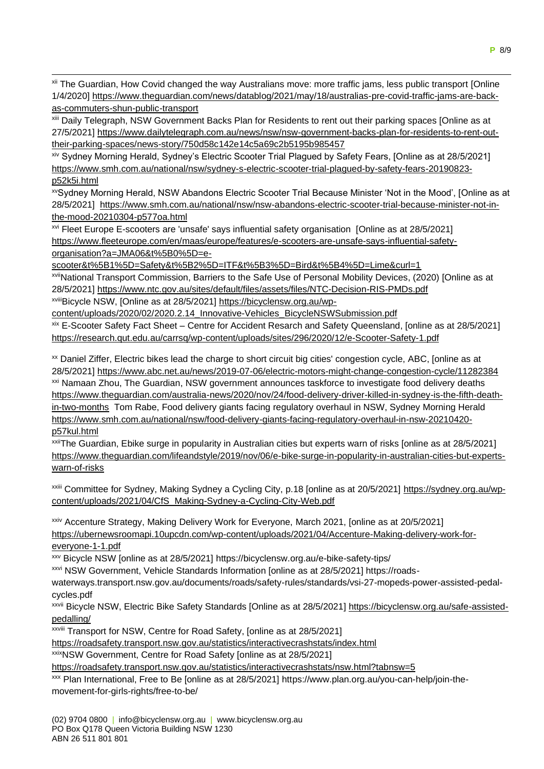xii The Guardian, How Covid changed the way Australians move: more traffic jams, less public transport [Online 1/4/2020] https://www.theguardian.com/news/datablog/2021/may/18/australias-pre-covid-traffic-jams-are-backas-commuters-shun-public-transport

xiii Daily Telegraph, NSW Government Backs Plan for Residents to rent out their parking spaces [Online as at 27/5/2021] [https://www.dailytelegraph.com.au/news/nsw/nsw-government-backs-plan-for-residents-to-rent-out](https://www.dailytelegraph.com.au/news/nsw/nsw-government-backs-plan-for-residents-to-rent-out-their-parking-spaces/news-story/750d58c142e14c5a69c2b5195b985457)[their-parking-spaces/news-story/750d58c142e14c5a69c2b5195b985457](https://www.dailytelegraph.com.au/news/nsw/nsw-government-backs-plan-for-residents-to-rent-out-their-parking-spaces/news-story/750d58c142e14c5a69c2b5195b985457)

xiv Sydney Morning Herald, Sydney's Electric Scooter Trial Plagued by Safety Fears, [Online as at 28/5/2021] [https://www.smh.com.au/national/nsw/sydney-s-electric-scooter-trial-plagued-by-safety-fears-20190823](https://www.smh.com.au/national/nsw/sydney-s-electric-scooter-trial-plagued-by-safety-fears-20190823-p52k5i.html) [p52k5i.html](https://www.smh.com.au/national/nsw/sydney-s-electric-scooter-trial-plagued-by-safety-fears-20190823-p52k5i.html)

xvSydney Morning Herald, NSW Abandons Electric Scooter Trial Because Minister 'Not in the Mood', [Online as at 28/5/2021] [https://www.smh.com.au/national/nsw/nsw-abandons-electric-scooter-trial-because-minister-not-in](https://www.smh.com.au/national/nsw/nsw-abandons-electric-scooter-trial-because-minister-not-in-the-mood-20210304-p577oa.html)[the-mood-20210304-p577oa.html](https://www.smh.com.au/national/nsw/nsw-abandons-electric-scooter-trial-because-minister-not-in-the-mood-20210304-p577oa.html)

xvi Fleet Europe E-scooters are 'unsafe' says influential safety organisation [Online as at 28/5/2021] [https://www.fleeteurope.com/en/maas/europe/features/e-scooters-are-unsafe-says-influential-safety](https://www.fleeteurope.com/en/maas/europe/features/e-scooters-are-unsafe-says-influential-safety-organisation?a=JMA06&t%5B0%5D=e-scooter&t%5B1%5D=Safety&t%5B2%5D=ITF&t%5B3%5D=Bird&t%5B4%5D=Lime&curl=1)[organisation?a=JMA06&t%5B0%5D=e-](https://www.fleeteurope.com/en/maas/europe/features/e-scooters-are-unsafe-says-influential-safety-organisation?a=JMA06&t%5B0%5D=e-scooter&t%5B1%5D=Safety&t%5B2%5D=ITF&t%5B3%5D=Bird&t%5B4%5D=Lime&curl=1)

[scooter&t%5B1%5D=Safety&t%5B2%5D=ITF&t%5B3%5D=Bird&t%5B4%5D=Lime&curl=1](https://www.fleeteurope.com/en/maas/europe/features/e-scooters-are-unsafe-says-influential-safety-organisation?a=JMA06&t%5B0%5D=e-scooter&t%5B1%5D=Safety&t%5B2%5D=ITF&t%5B3%5D=Bird&t%5B4%5D=Lime&curl=1)

xviiNational Transport Commission, Barriers to the Safe Use of Personal Mobility Devices, (2020) [Online as at 28/5/2021]<https://www.ntc.gov.au/sites/default/files/assets/files/NTC-Decision-RIS-PMDs.pdf>

xviiiBicycle NSW, [Online as at 28/5/2021] [https://bicyclensw.org.au/wp-](https://bicyclensw.org.au/wp-content/uploads/2020/02/2020.2.14_Innovative-Vehicles_BicycleNSWSubmission.pdf)

[content/uploads/2020/02/2020.2.14\\_Innovative-Vehicles\\_BicycleNSWSubmission.pdf](https://bicyclensw.org.au/wp-content/uploads/2020/02/2020.2.14_Innovative-Vehicles_BicycleNSWSubmission.pdf)

xix E-Scooter Safety Fact Sheet – Centre for Accident Resarch and Safety Queensland, [online as at 28/5/2021] <https://research.qut.edu.au/carrsq/wp-content/uploads/sites/296/2020/12/e-Scooter-Safety-1.pdf>

xx Daniel Ziffer, Electric bikes lead the charge to short circuit big cities' congestion cycle, ABC, [online as at 28/5/2021]<https://www.abc.net.au/news/2019-07-06/electric-motors-might-change-congestion-cycle/11282384> xxi Namaan Zhou, The Guardian, NSW government announces taskforce to investigate food delivery deaths [https://www.theguardian.com/australia-news/2020/nov/24/food-delivery-driver-killed-in-sydney-is-the-fifth-death](https://www.theguardian.com/australia-news/2020/nov/24/food-delivery-driver-killed-in-sydney-is-the-fifth-death-in-two-months)[in-two-months](https://www.theguardian.com/australia-news/2020/nov/24/food-delivery-driver-killed-in-sydney-is-the-fifth-death-in-two-months) Tom Rabe, Food delivery giants facing regulatory overhaul in NSW, Sydney Morning Herald [https://www.smh.com.au/national/nsw/food-delivery-giants-facing-regulatory-overhaul-in-nsw-20210420](https://www.smh.com.au/national/nsw/food-delivery-giants-facing-regulatory-overhaul-in-nsw-20210420-p57kul.html) [p57kul.html](https://www.smh.com.au/national/nsw/food-delivery-giants-facing-regulatory-overhaul-in-nsw-20210420-p57kul.html)

xxiiThe Guardian, Ebike surge in popularity in Australian cities but experts warn of risks [online as at 28/5/2021] [https://www.theguardian.com/lifeandstyle/2019/nov/06/e-bike-surge-in-popularity-in-australian-cities-but-experts](https://www.theguardian.com/lifeandstyle/2019/nov/06/e-bike-surge-in-popularity-in-australian-cities-but-experts-warn-of-risks)[warn-of-risks](https://www.theguardian.com/lifeandstyle/2019/nov/06/e-bike-surge-in-popularity-in-australian-cities-but-experts-warn-of-risks)

xxiii Committee for Sydney, Making Sydney a Cycling City, p.18 [online as at 20/5/2021] [https://sydney.org.au/wp](https://sydney.org.au/wp-content/uploads/2021/04/CfS_Making-Sydney-a-Cycling-City-Web.pdf)[content/uploads/2021/04/CfS\\_Making-Sydney-a-Cycling-City-Web.pdf](https://sydney.org.au/wp-content/uploads/2021/04/CfS_Making-Sydney-a-Cycling-City-Web.pdf)

xxiv Accenture Strategy, Making Delivery Work for Everyone, March 2021, [online as at 20/5/2021] [https://ubernewsroomapi.10upcdn.com/wp-content/uploads/2021/04/Accenture-Making-delivery-work-for](https://ubernewsroomapi.10upcdn.com/wp-content/uploads/2021/04/Accenture-Making-delivery-work-for-everyone-1-1.pdf)[everyone-1-1.pdf](https://ubernewsroomapi.10upcdn.com/wp-content/uploads/2021/04/Accenture-Making-delivery-work-for-everyone-1-1.pdf)

xxv Bicycle NSW [online as at 28/5/2021] https://bicyclensw.org.au/e-bike-safety-tips/

xxvi NSW Government, Vehicle Standards Information [online as at 28/5/2021] https://roads-

waterways.transport.nsw.gov.au/documents/roads/safety-rules/standards/vsi-27-mopeds-power-assisted-pedalcycles.pdf

xxvii Bicycle NSW, Electric Bike Safety Standards [Online as at 28/5/2021] [https://bicyclensw.org.au/safe-assisted](https://bicyclensw.org.au/safe-assisted-pedalling/)[pedalling/](https://bicyclensw.org.au/safe-assisted-pedalling/)

xxviii Transport for NSW, Centre for Road Safety, [online as at 28/5/2021]

<https://roadsafety.transport.nsw.gov.au/statistics/interactivecrashstats/index.html>

xxixNSW Government, Centre for Road Safety [online as at 28/5/2021]

<https://roadsafety.transport.nsw.gov.au/statistics/interactivecrashstats/nsw.html?tabnsw=5>

xxx Plan International, Free to Be [online as at 28/5/2021] https://www.plan.org.au/you-can-help/join-themovement-for-girls-rights/free-to-be/